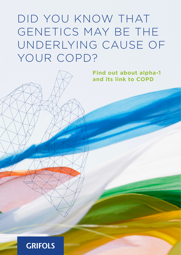# DID YOU KNOW THAT GENETICS MAY BE THE UNDERLYING CAUSE OF YOUR COPD?

**Find out about alpha-1 and its link to COPD**

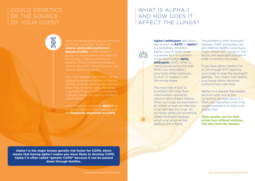**Alpha-1 is the major known genetic risk factor for COPD, which means that having alpha-1 makes you more likely to develop COPD. Alpha-1 is often called "genetic COPD" because it can be passed down through families.**

You may be aware that COPD can be caused by external factors or lifestyle choices, such as smoking. But did you know that, in some cases, the cause is genetic? If your COPD is caused by a genetic factor, you have a condition called alpha-1.

you know is probably living with **chronic obstructive pulmonary disease (COPD)**. COPD defines a group of lung problems that obstruct chronic bronchitis, bronchiectasis, and chronic asthma in adults.

Lung problems caused by **alpha-1** are similar to common lung diseases and are **frequently diagnosed as COPD**.

**Alpha-1 antitrypsin** deficiency, also known as **AATD** or **alpha-1**, is a hereditary condition. Alpha-1 occurs when there is a severe lack of a protein in the blood called **alpha. antitrypsin** (AAT), which is mainly produced by the liver. When you have alpha-1, your body either produces no AAT or creates it with the wrong shape.

The main role of AAT is to protect the lungs from inflammation caused by infection and inhaled irritants. When our lungs are exposed to an irritant or even an infection, it can damage the lungs. So, our body sends out something called neutrophil elastase, which is an enzyme that destroys the irritants.

#### COULD GENETICS BE THE SOURCE OF YOUR COPD?

MM

#### WHAT IS ALPHA-1 AND HOW DOES IT AFFECT THE LUNGS?

#### The problem is that neutrophil elastase, if left unchecked, can also destroy healthy lung tissue. That's where AAT comes in. AAT blocks the neutrophil elastase in order to protect the lungs.

#### If you have alpha-1 there is no or not enough AAT reaching your lungs to stop the neutrophil elastase. This means that healthy lung tissue slowly becomes compromised over time.

Alpha-1 is a disease that people are born with, but as the symptoms develop slowly it is often only identified once it has caused problems to their lungs and/or liver.

**Many people can live their whole lives without realising that they have the disease.**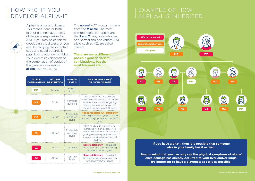How might you develop alpha-1?/4 Example of how alpha-1 is inherited/5



#### HOW MIGHT YOU DEVELOP ALPHA-1?

PARTS

EXAMPLE OF HOW ALPHA-1 IS INHERITED

> **If you have alpha-1, then it is possible that someone else in your family has it as well.**

 **Bear in mind that you can only see the physical symptoms of alpha-1 once damage has already occurred to your liver and/or lungs. It's important to have a diagnosis as early as possible!**



| <b>ALLELE</b><br><b>COMBINATION</b> | <b>PATIENT</b><br><b>DESCRIPTION</b> | <b>ALPHA-1</b><br><b>LEVELS</b>    | <b>RISK OF LUNG AND/</b><br><b>OR LIVER DISEASE</b>                                                                                                                                   |
|-------------------------------------|--------------------------------------|------------------------------------|---------------------------------------------------------------------------------------------------------------------------------------------------------------------------------------|
| <b>MM</b>                           | Normal                               | Normal<br>levels                   |                                                                                                                                                                                       |
| MS                                  | Carrier                              | Normal to<br>low levels            | Most studies do not show an<br>increased risk of disease. It is unclear<br>whether there is a risk of getting<br>disease symptoms, but you are<br>carrying an abnormal AAT gene.      |
| МZ                                  | Carrier                              | Moderately<br>low to low<br>levels | <b>Mild to moderate AAT Deficiency</b><br>- may get disease symptoms and<br>you are carrying an abnormal AAT<br>gene.                                                                 |
| SS                                  | Alpha-1                              | Moderately<br>low to low<br>levels | Most studies do not show an<br>increased risk of disease. It is<br>unclear whether there is a risk of<br>getting disease symptoms, but<br>you are carrying two abnormal<br>AAT genes. |
| SZ                                  | Alpha-1                              | Low levels                         | <b>Severe deficiency</b> — could get<br>the disease and you are carrying<br>two abnormal AAT genes.                                                                                   |
| ΖZ                                  | Alpha-1                              | Very low<br>levels                 | <b>Severe deficiency</b> - could get<br>the disease and you are carrying<br>two abnormal AAT genes.                                                                                   |

Alpha-1 is a genetic disease. This means if one or both of your parents have a copy of the gene responsible for AATD, you may be at risk for developing the disease; or you may be carrying the defective copy and could potentially pass it on to your own children. Your level of risk depends on the combination of copies of the gene, also known as **alleles**, that you carry.

The **normal** AAT protein is made from the **M allele**. The most common defective alleles are the **S and Z**. Anybody who has one normal and one variant AAT allele, such as MZ, are called carriers.

**There are many different possible genetic variant combinations, but the most frequent are:**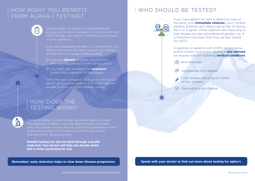$\mathcal{P}$  Unexplained liver disease

#### HOW MIGHT YOU BENEFIT FROM ALPHA-1 TESTING?

E

 $\overline{\mathbb{D}}$ 

## HOW DOES THE TESTING WORK?

If you are diagnosed with alpha-1, it means that your doctor now knows the main cause of your disease and can look to manage it appropriately:

Getting tested for alpha-1 is a straightforward process and is recommended for everyone who has COPD to help your doctor in identifying the source of your condition.

- There are **lifestyle** changes you can make that may help prevent further complications
- You might also be eligible for **treatment** to slow the progression of the disease.

**Liver disease with a family history** of liver disease

(%) Panniculitis, a skin disease

And if the test is negative, your doctor will rule out alpha-1 as a possible cause of your COPD and will be able to focus on other possible causes.

## WHO SHOULD BE TESTED?



If you have alpha-1 or carry a defective copy of the gene, your **immediate relatives** (your children, parents, brothers and sisters) are at risk of having the S or Z genes. Other relatives who have lung or liver disease are also considered at greater risk. It is therefore important that they are also tested for AATD.

In addition to patients with COPD (emphysema and/or chronic bronchitis), testing is **also advised** for anyone with the following **medical conditions**:





Testing for alpha-1 is fairly simple, quick and highly accurate. The diagnosis of alpha-1 is usually determined by laboratory tests. Your doctor will require only a small blood sample in order to know how much AAT protein you have in your blood and which AAT genes you have.

**Genetic testing can also be done through a mouth swab test. Your doctor will help you decide which test is more convenient for you.**

Remember: early detection helps to slow down disease progression. **Speak with your doctor to find out more about testing for alpha-1.**